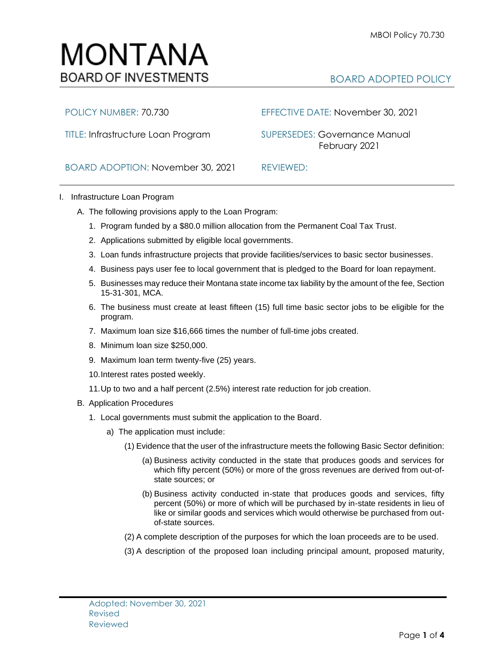## MONTANA **BOARD OF INVESTMENTS**

## BOARD ADOPTED POLICY

POLICY NUMBER: 70.730 EFFECTIVE DATE: November 30, 2021

TITLE: Infrastructure Loan Program SUPERSEDES: Governance ManualFebruary 2021

BOARD ADOPTION: November 30, 2021 REVIEWED:

## I. Infrastructure Loan Program

- A. The following provisions apply to the Loan Program:
	- 1. Program funded by a \$80.0 million allocation from the Permanent Coal Tax Trust.
	- 2. Applications submitted by eligible local governments.
	- 3. Loan funds infrastructure projects that provide facilities/services to basic sector businesses.
	- 4. Business pays user fee to local government that is pledged to the Board for loan repayment.
	- 5. Businesses may reduce their Montana state income tax liability by the amount of the fee, Section 15-31-301, MCA.
	- 6. The business must create at least fifteen (15) full time basic sector jobs to be eligible for the program.
	- 7. Maximum loan size \$16,666 times the number of full-time jobs created.
	- 8. Minimum loan size \$250,000.
	- 9. Maximum loan term twenty-five (25) years.
	- 10.Interest rates posted weekly.
	- 11.Up to two and a half percent (2.5%) interest rate reduction for job creation.
- B. Application Procedures
	- 1. Local governments must submit the application to the Board.
		- a) The application must include:
			- (1) Evidence that the user of the infrastructure meets the following Basic Sector definition:
				- (a) Business activity conducted in the state that produces goods and services for which fifty percent (50%) or more of the gross revenues are derived from out-ofstate sources; or
				- (b) Business activity conducted in-state that produces goods and services, fifty percent (50%) or more of which will be purchased by in-state residents in lieu of like or similar goods and services which would otherwise be purchased from outof-state sources.
			- (2) A complete description of the purposes for which the loan proceeds are to be used.
			- (3) A description of the proposed loan including principal amount, proposed maturity,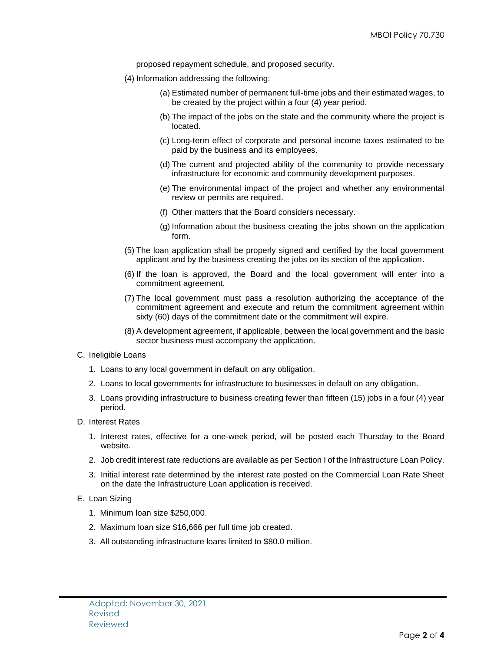proposed repayment schedule, and proposed security.

- (4) Information addressing the following:
	- (a) Estimated number of permanent full-time jobs and their estimated wages, to be created by the project within a four (4) year period.
	- (b) The impact of the jobs on the state and the community where the project is located.
	- (c) Long-term effect of corporate and personal income taxes estimated to be paid by the business and its employees.
	- (d) The current and projected ability of the community to provide necessary infrastructure for economic and community development purposes.
	- (e) The environmental impact of the project and whether any environmental review or permits are required.
	- (f) Other matters that the Board considers necessary.
	- (g) Information about the business creating the jobs shown on the application form.
- (5) The loan application shall be properly signed and certified by the local government applicant and by the business creating the jobs on its section of the application.
- (6) If the loan is approved, the Board and the local government will enter into a commitment agreement.
- (7) The local government must pass a resolution authorizing the acceptance of the commitment agreement and execute and return the commitment agreement within sixty (60) days of the commitment date or the commitment will expire.
- (8) A development agreement, if applicable, between the local government and the basic sector business must accompany the application.
- C. Ineligible Loans
	- 1. Loans to any local government in default on any obligation.
	- 2. Loans to local governments for infrastructure to businesses in default on any obligation.
	- 3. Loans providing infrastructure to business creating fewer than fifteen (15) jobs in a four (4) year period.
- D. Interest Rates
	- 1. Interest rates, effective for a one-week period, will be posted each Thursday to the Board website.
	- 2. Job credit interest rate reductions are available as per Section I of the Infrastructure Loan Policy.
	- 3. Initial interest rate determined by the interest rate posted on the Commercial Loan Rate Sheet on the date the Infrastructure Loan application is received.
- E. Loan Sizing
	- 1. Minimum loan size \$250,000.
	- 2. Maximum loan size \$16,666 per full time job created.
	- 3. All outstanding infrastructure loans limited to \$80.0 million.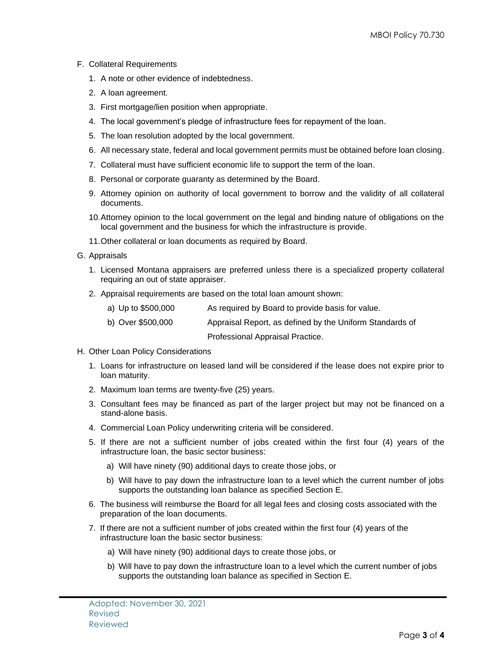- F. Collateral Requirements
	- 1. A note or other evidence of indebtedness.
	- 2. A loan agreement.
	- 3. First mortgage/lien position when appropriate.
	- 4. The local government's pledge of infrastructure fees for repayment of the loan.
	- 5. The loan resolution adopted by the local government.
	- 6. All necessary state, federal and local government permits must be obtained before loan closing.
	- 7. Collateral must have sufficient economic life to support the term of the loan.
	- 8. Personal or corporate guaranty as determined by the Board.
	- 9. Attorney opinion on authority of local government to borrow and the validity of all collateral documents.
	- 10.Attorney opinion to the local government on the legal and binding nature of obligations on the local government and the business for which the infrastructure is provide.
	- 11.Other collateral or loan documents as required by Board.
- G. Appraisals
	- 1. Licensed Montana appraisers are preferred unless there is a specialized property collateral requiring an out of state appraiser.
	- 2. Appraisal requirements are based on the total loan amount shown:
		- a) Up to \$500,000 As required by Board to provide basis for value.
		- b) Over \$500,000 Appraisal Report, as defined by the Uniform Standards of

Professional Appraisal Practice.

- H. Other Loan Policy Considerations
	- 1. Loans for infrastructure on leased land will be considered if the lease does not expire prior to loan maturity.
	- 2. Maximum loan terms are twenty-five (25) years.
	- 3. Consultant fees may be financed as part of the larger project but may not be financed on a stand-alone basis.
	- 4. Commercial Loan Policy underwriting criteria will be considered.
	- 5. If there are not a sufficient number of jobs created within the first four (4) years of the infrastructure loan, the basic sector business:
		- a) Will have ninety (90) additional days to create those jobs, or
		- b) Will have to pay down the infrastructure loan to a level which the current number of jobs supports the outstanding loan balance as specified Section E.
	- 6. The business will reimburse the Board for all legal fees and closing costs associated with the preparation of the loan documents.
	- 7. If there are not a sufficient number of jobs created within the first four (4) years of the infrastructure loan the basic sector business:
		- a) Will have ninety (90) additional days to create those jobs, or
		- b) Will have to pay down the infrastructure loan to a level which the current number of jobs supports the outstanding loan balance as specified in Section E.